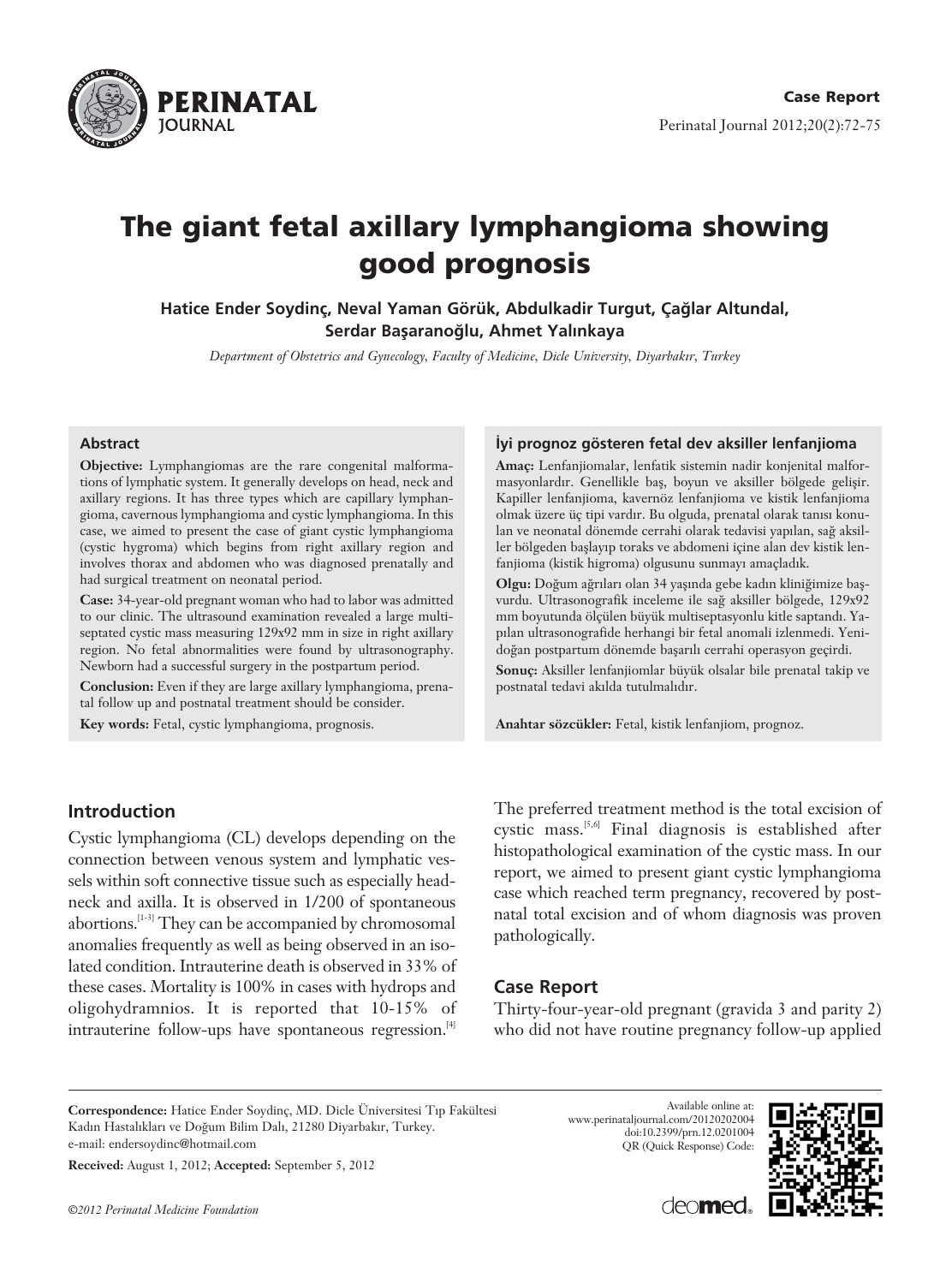

# The giant fetal axillary lymphangioma showing good prognosis

Hatice Ender Soydinc, Neval Yaman Görük, Abdulkadir Turgut, Çağlar Altundal, Serdar Başaranoğlu, Ahmet Yalınkaya

*Department of Obstetrics and Gynecology, Faculty of Medicine, Dicle University, Diyarbak›r, Turkey*

#### **Abstract**

**Objective:** Lymphangiomas are the rare congenital malformations of lymphatic system. It generally develops on head, neck and axillary regions. It has three types which are capillary lymphangioma, cavernous lymphangioma and cystic lymphangioma. In this case, we aimed to present the case of giant cystic lymphangioma (cystic hygroma) which begins from right axillary region and involves thorax and abdomen who was diagnosed prenatally and had surgical treatment on neonatal period.

**Case:** 34-year-old pregnant woman who had to labor was admitted to our clinic. The ultrasound examination revealed a large multiseptated cystic mass measuring 129x92 mm in size in right axillary region. No fetal abnormalities were found by ultrasonography. Newborn had a successful surgery in the postpartum period.

**Conclusion:** Even if they are large axillary lymphangioma, prenatal follow up and postnatal treatment should be consider.

**Key words:** Fetal, cystic lymphangioma, prognosis.

## **Introduction**

Cystic lymphangioma (CL) develops depending on the connection between venous system and lymphatic vessels within soft connective tissue such as especially headneck and axilla. It is observed in 1/200 of spontaneous abortions.[1-3] They can be accompanied by chromosomal anomalies frequently as well as being observed in an isolated condition. Intrauterine death is observed in 33% of these cases. Mortality is 100% in cases with hydrops and oligohydramnios. It is reported that 10-15% of intrauterine follow-ups have spontaneous regression.<sup>[4]</sup>

#### **‹yi prognoz gösteren fetal dev aksiller lenfanjioma**

**Amaç:** Lenfanjiomalar, lenfatik sistemin nadir konjenital malformasyonlardır. Genellikle baş, boyun ve aksiller bölgede gelişir. Kapiller lenfanjioma, kavernöz lenfanjioma ve kistik lenfanjioma olmak üzere üç tipi vardır. Bu olguda, prenatal olarak tanısı konulan ve neonatal dönemde cerrahi olarak tedavisi yapılan, sağ aksiller bölgeden başlayıp toraks ve abdomeni içine alan dev kistik lenfanjioma (kistik higroma) olgusunu sunmayı amaçladık.

**Olgu:** Doğum ağrıları olan 34 yaşında gebe kadın kliniğimize başvurdu. Ultrasonografik inceleme ile sağ aksiller bölgede, 129x92 mm boyutunda ölçülen büyük multiseptasyonlu kitle saptandı. Yapılan ultrasonografide herhangi bir fetal anomali izlenmedi. Yenidoğan postpartum dönemde başarılı cerrahi operasyon geçirdi.

**Sonuç:** Aksiller lenfanjiomlar büyük olsalar bile prenatal takip ve postnatal tedavi akılda tutulmalıdır.

**Anahtar sözcükler:** Fetal, kistik lenfanjiom, prognoz.

The preferred treatment method is the total excision of cystic mass.[5,6] Final diagnosis is established after histopathological examination of the cystic mass. In our report, we aimed to present giant cystic lymphangioma case which reached term pregnancy, recovered by postnatal total excision and of whom diagnosis was proven pathologically.

## **Case Report**

Thirty-four-year-old pregnant (gravida 3 and parity 2) who did not have routine pregnancy follow-up applied

**Correspondence:** Hatice Ender Soydinç, MD. Dicle Üniversitesi T›p Fakültesi Kadın Hastalıkları ve Doğum Bilim Dalı, 21280 Diyarbakır, Turkey. e-mail: endersoydinc@hotmail.com

**Received:** August 1, 2012; **Accepted:** September 5, 2012





deamed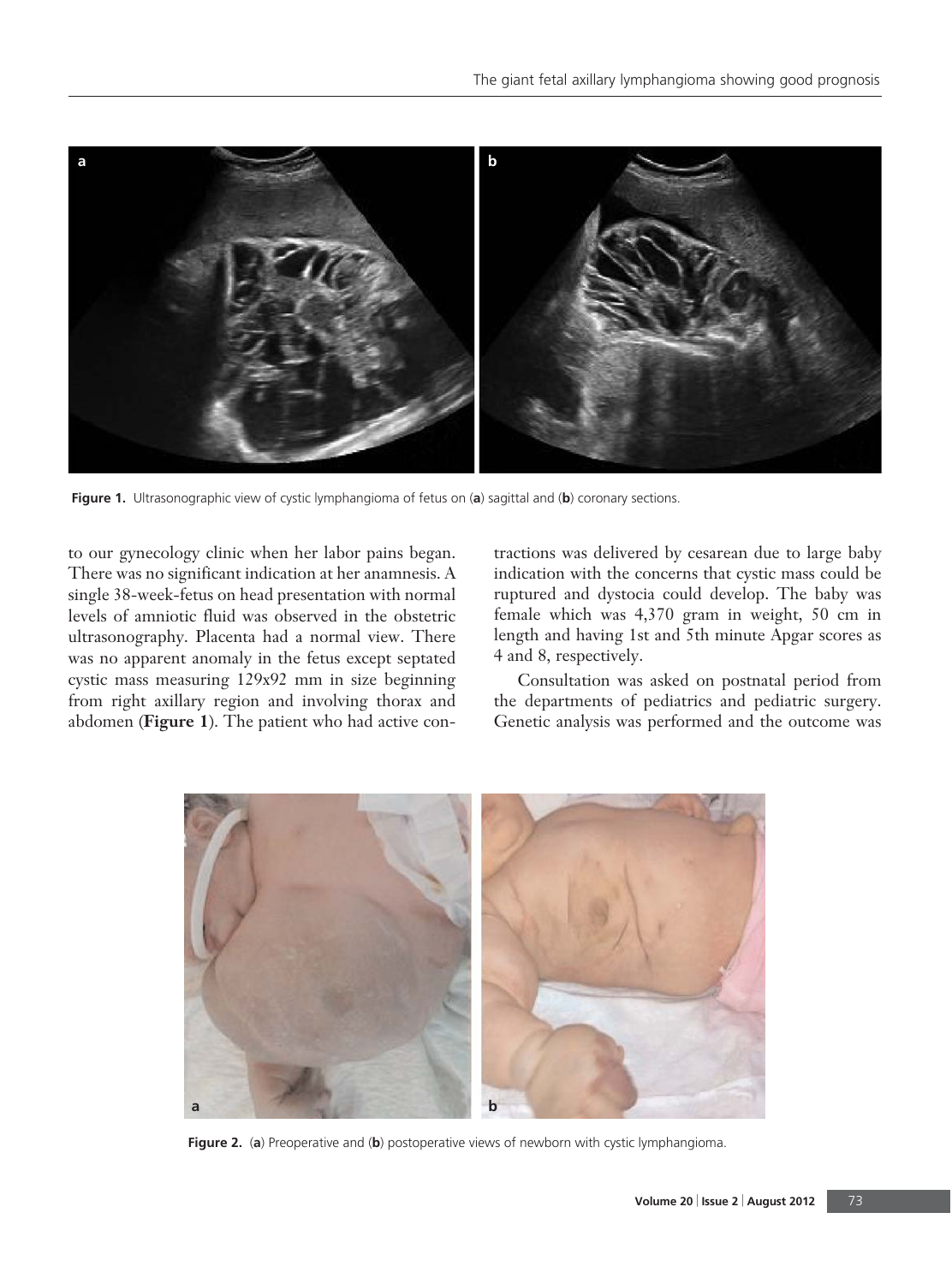

**Figure 1.** Ultrasonographic view of cystic lymphangioma of fetus on (**a**) sagittal and (**b**) coronary sections.

to our gynecology clinic when her labor pains began. There was no significant indication at her anamnesis. A single 38-week-fetus on head presentation with normal levels of amniotic fluid was observed in the obstetric ultrasonography. Placenta had a normal view. There was no apparent anomaly in the fetus except septated cystic mass measuring 129x92 mm in size beginning from right axillary region and involving thorax and abdomen (**Figure 1**). The patient who had active contractions was delivered by cesarean due to large baby indication with the concerns that cystic mass could be ruptured and dystocia could develop. The baby was female which was 4,370 gram in weight, 50 cm in length and having 1st and 5th minute Apgar scores as 4 and 8, respectively.

Consultation was asked on postnatal period from the departments of pediatrics and pediatric surgery. Genetic analysis was performed and the outcome was



**Figure 2.** (**a**) Preoperative and (**b**) postoperative views of newborn with cystic lymphangioma.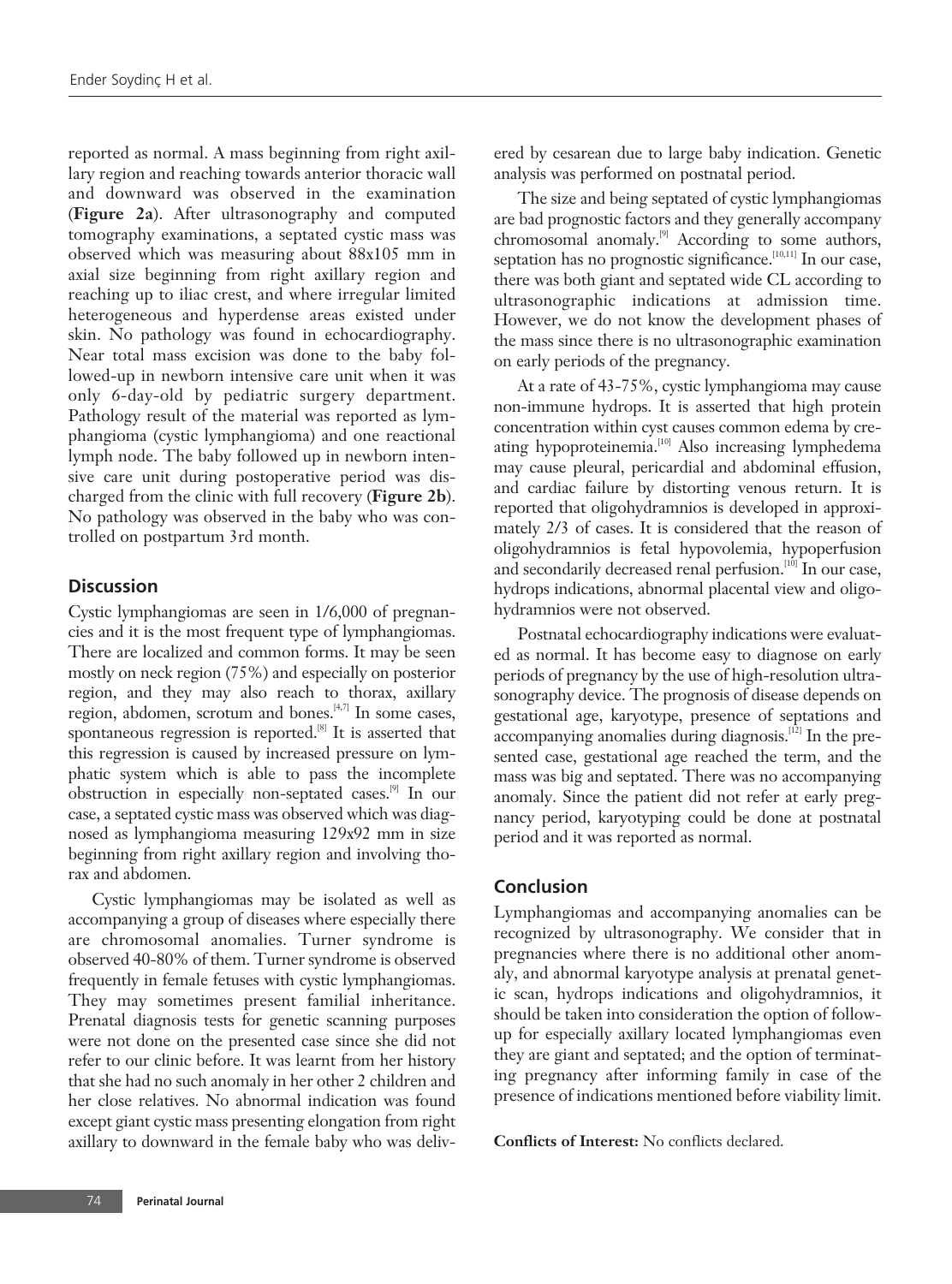reported as normal. A mass beginning from right axillary region and reaching towards anterior thoracic wall and downward was observed in the examination (**Figure 2a**). After ultrasonography and computed tomography examinations, a septated cystic mass was observed which was measuring about 88x105 mm in axial size beginning from right axillary region and reaching up to iliac crest, and where irregular limited heterogeneous and hyperdense areas existed under skin. No pathology was found in echocardiography. Near total mass excision was done to the baby followed-up in newborn intensive care unit when it was only 6-day-old by pediatric surgery department. Pathology result of the material was reported as lymphangioma (cystic lymphangioma) and one reactional lymph node. The baby followed up in newborn intensive care unit during postoperative period was discharged from the clinic with full recovery (**Figure 2b**). No pathology was observed in the baby who was controlled on postpartum 3rd month.

## **Discussion**

Cystic lymphangiomas are seen in 1/6,000 of pregnancies and it is the most frequent type of lymphangiomas. There are localized and common forms. It may be seen mostly on neck region (75%) and especially on posterior region, and they may also reach to thorax, axillary region, abdomen, scrotum and bones.[4,7] In some cases, spontaneous regression is reported.<sup>[8]</sup> It is asserted that this regression is caused by increased pressure on lymphatic system which is able to pass the incomplete obstruction in especially non-septated cases.[9] In our case, a septated cystic mass was observed which was diagnosed as lymphangioma measuring 129x92 mm in size beginning from right axillary region and involving thorax and abdomen.

Cystic lymphangiomas may be isolated as well as accompanying a group of diseases where especially there are chromosomal anomalies. Turner syndrome is observed 40-80% of them. Turner syndrome is observed frequently in female fetuses with cystic lymphangiomas. They may sometimes present familial inheritance. Prenatal diagnosis tests for genetic scanning purposes were not done on the presented case since she did not refer to our clinic before. It was learnt from her history that she had no such anomaly in her other 2 children and her close relatives. No abnormal indication was found except giant cystic mass presenting elongation from right axillary to downward in the female baby who was delivered by cesarean due to large baby indication. Genetic analysis was performed on postnatal period.

The size and being septated of cystic lymphangiomas are bad prognostic factors and they generally accompany chromosomal anomaly.<sup>[9]</sup> According to some authors, septation has no prognostic significance.<sup>[10,11]</sup> In our case, there was both giant and septated wide CL according to ultrasonographic indications at admission time. However, we do not know the development phases of the mass since there is no ultrasonographic examination on early periods of the pregnancy.

At a rate of 43-75%, cystic lymphangioma may cause non-immune hydrops. It is asserted that high protein concentration within cyst causes common edema by creating hypoproteinemia.<sup>[10]</sup> Also increasing lymphedema may cause pleural, pericardial and abdominal effusion, and cardiac failure by distorting venous return. It is reported that oligohydramnios is developed in approximately 2/3 of cases. It is considered that the reason of oligohydramnios is fetal hypovolemia, hypoperfusion and secondarily decreased renal perfusion.<sup>[10]</sup> In our case, hydrops indications, abnormal placental view and oligohydramnios were not observed.

Postnatal echocardiography indications were evaluated as normal. It has become easy to diagnose on early periods of pregnancy by the use of high-resolution ultrasonography device. The prognosis of disease depends on gestational age, karyotype, presence of septations and accompanying anomalies during diagnosis.<sup>[12]</sup> In the presented case, gestational age reached the term, and the mass was big and septated. There was no accompanying anomaly. Since the patient did not refer at early pregnancy period, karyotyping could be done at postnatal period and it was reported as normal.

## **Conclusion**

Lymphangiomas and accompanying anomalies can be recognized by ultrasonography. We consider that in pregnancies where there is no additional other anomaly, and abnormal karyotype analysis at prenatal genetic scan, hydrops indications and oligohydramnios, it should be taken into consideration the option of followup for especially axillary located lymphangiomas even they are giant and septated; and the option of terminating pregnancy after informing family in case of the presence of indications mentioned before viability limit.

**Conflicts of Interest:** No conflicts declared.